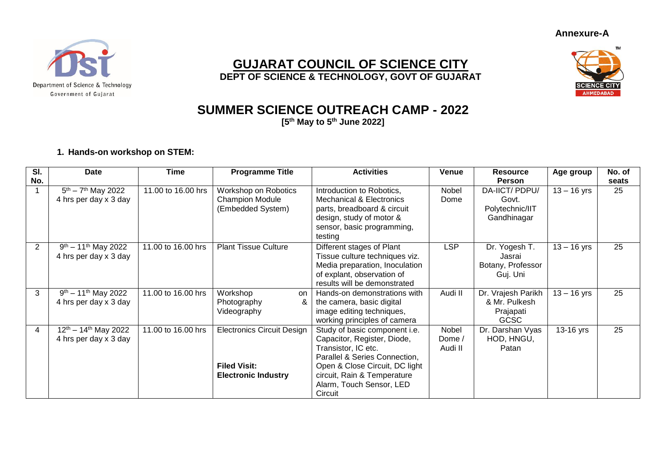**Annexure-A**



## **GUJARAT COUNCIL OF SCIENCE CITY DEPT OF SCIENCE & TECHNOLOGY, GOVT OF GUJARAT**



# **SUMMER SCIENCE OUTREACH CAMP - 2022**

**[5 th May to 5 th June 2022]**

#### **1. Hands-on workshop on STEM:**

| SI.            | <b>Date</b>                                           | <b>Time</b>        | <b>Programme Title</b>                                                                 | <b>Activities</b>                                                                                                                                                                                                            | <b>Venue</b>               | <b>Resource</b>                                                 | Age group     | No. of |
|----------------|-------------------------------------------------------|--------------------|----------------------------------------------------------------------------------------|------------------------------------------------------------------------------------------------------------------------------------------------------------------------------------------------------------------------------|----------------------------|-----------------------------------------------------------------|---------------|--------|
| No.            |                                                       |                    |                                                                                        |                                                                                                                                                                                                                              |                            | <b>Person</b>                                                   |               | seats  |
|                | $5th - 7th$ May 2022<br>4 hrs per day x 3 day         | 11.00 to 16.00 hrs | Workshop on Robotics<br><b>Champion Module</b><br>(Embedded System)                    | Introduction to Robotics,<br><b>Mechanical &amp; Electronics</b><br>parts, breadboard & circuit<br>design, study of motor &<br>sensor, basic programming,<br>testing                                                         | Nobel<br>Dome              | DA-IICT/PDPU/<br>Govt.<br>Polytechnic/IIT<br>Gandhinagar        | $13 - 16$ yrs | 25     |
| $\overline{2}$ | $9th - 11th$ May 2022<br>4 hrs per day x 3 day        | 11.00 to 16.00 hrs | <b>Plant Tissue Culture</b>                                                            | Different stages of Plant<br>Tissue culture techniques viz.<br>Media preparation, Inoculation<br>of explant, observation of<br>results will be demonstrated                                                                  | <b>LSP</b>                 | Dr. Yogesh T.<br>Jasrai<br>Botany, Professor<br>Guj. Uni        | $13 - 16$ yrs | 25     |
| 3              | $9th - 11th$ May 2022<br>4 hrs per day x 3 day        | 11.00 to 16.00 hrs | Workshop<br>on<br>Photography<br>&<br>Videography                                      | Hands-on demonstrations with<br>the camera, basic digital<br>image editing techniques,<br>working principles of camera                                                                                                       | Audi II                    | Dr. Vrajesh Parikh<br>& Mr. Pulkesh<br>Prajapati<br><b>GCSC</b> | $13 - 16$ yrs | 25     |
| 4              | $12^{th} - 14^{th}$ May 2022<br>4 hrs per day x 3 day | 11.00 to 16.00 hrs | <b>Electronics Circuit Design</b><br><b>Filed Visit:</b><br><b>Electronic Industry</b> | Study of basic component i.e.<br>Capacitor, Register, Diode,<br>Transistor, IC etc.<br>Parallel & Series Connection,<br>Open & Close Circuit, DC light<br>circuit, Rain & Temperature<br>Alarm, Touch Sensor, LED<br>Circuit | Nobel<br>Dome /<br>Audi II | Dr. Darshan Vyas<br>HOD, HNGU,<br>Patan                         | 13-16 yrs     | 25     |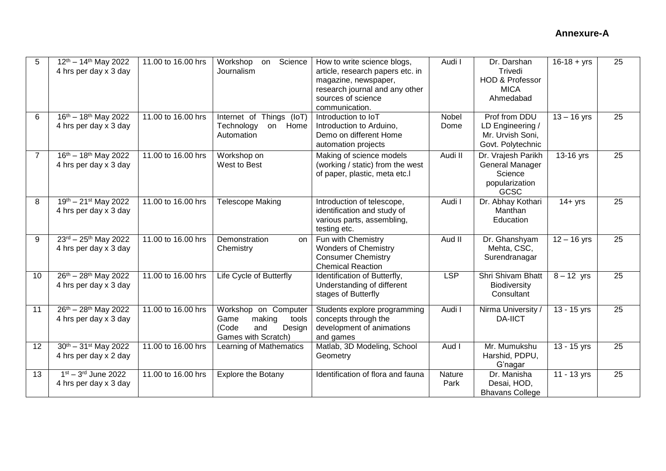| 5              | $12^{th} - 14^{th}$ May 2022<br>4 hrs per day x 3 day               | 11.00 to 16.00 hrs | Workshop<br>Science<br>on<br>Journalism                                                          | How to write science blogs,<br>article, research papers etc. in<br>magazine, newspaper,<br>research journal and any other<br>sources of science<br>communication. | Audi I         | Dr. Darshan<br>Trivedi<br><b>HOD &amp; Professor</b><br><b>MICA</b><br>Ahmedabad  | $16 - 18 + yrs$       | 25              |
|----------------|---------------------------------------------------------------------|--------------------|--------------------------------------------------------------------------------------------------|-------------------------------------------------------------------------------------------------------------------------------------------------------------------|----------------|-----------------------------------------------------------------------------------|-----------------------|-----------------|
| 6              | $16^{th} - 18^{th}$ May 2022<br>4 hrs per day x 3 day               | 11.00 to 16.00 hrs | Internet of Things (IoT)<br>Technology<br>Home<br>on<br>Automation                               | Introduction to IoT<br>Introduction to Arduino,<br>Demo on different Home<br>automation projects                                                                  | Nobel<br>Dome  | Prof from DDU<br>LD Engineering /<br>Mr. Urvish Soni,<br>Govt. Polytechnic        | $13 - 16$ yrs         | 25              |
| $\overline{7}$ | $16^{th} - 18^{th}$ May 2022<br>4 hrs per day x 3 day               | 11.00 to 16.00 hrs | Workshop on<br>West to Best                                                                      | Making of science models<br>(working / static) from the west<br>of paper, plastic, meta etc.l                                                                     | Audi II        | Dr. Vrajesh Parikh<br><b>General Manager</b><br>Science<br>popularization<br>GCSC | 13-16 yrs             | $\overline{25}$ |
| 8              | $19^{th} - 21^{st}$ May 2022<br>4 hrs per day x 3 day               | 11.00 to 16.00 hrs | <b>Telescope Making</b>                                                                          | Introduction of telescope,<br>identification and study of<br>various parts, assembling,<br>testing etc.                                                           | Audi I         | Dr. Abhay Kothari<br>Manthan<br>Education                                         | $\overline{1}$ 4+ yrs | 25              |
| 9              | $23^{\text{rd}} - 25^{\text{th}}$ May 2022<br>4 hrs per day x 3 day | 11.00 to 16.00 hrs | Demonstration<br>on<br>Chemistry                                                                 | Fun with Chemistry<br><b>Wonders of Chemistry</b><br><b>Consumer Chemistry</b><br><b>Chemical Reaction</b>                                                        | Aud II         | Dr. Ghanshyam<br>Mehta, CSC,<br>Surendranagar                                     | $12 - 16$ yrs         | 25              |
| 10             | $26^{th} - 28^{th}$ May 2022<br>4 hrs per day x 3 day               | 11.00 to 16.00 hrs | Life Cycle of Butterfly                                                                          | Identification of Butterfly,<br>Understanding of different<br>stages of Butterfly                                                                                 | LSP            | <b>Shri Shivam Bhatt</b><br>Biodiversity<br>Consultant                            | $8 - 12$ yrs          | 25              |
| 11             | $26^{th} - 28^{th}$ May 2022<br>4 hrs per day x 3 day               | 11.00 to 16.00 hrs | Workshop on Computer<br>making<br>tools<br>Game<br>(Code<br>and<br>Design<br>Games with Scratch) | Students explore programming<br>concepts through the<br>development of animations<br>and games                                                                    | Audi I         | Nirma University /<br><b>DA-IICT</b>                                              | $13 - 15$ yrs         | 25              |
| 12             | $30^{th} - 31^{st}$ May 2022<br>4 hrs per day x 2 day               | 11.00 to 16.00 hrs | Learning of Mathematics                                                                          | Matlab, 3D Modeling, School<br>Geometry                                                                                                                           | Aud I          | Mr. Mumukshu<br>Harshid, PDPU,<br>G'nagar                                         | $13 - 15$ yrs         | 25              |
| 13             | $1st - 3rd$ June 2022<br>4 hrs per day x 3 day                      | 11.00 to 16.00 hrs | <b>Explore the Botany</b>                                                                        | Identification of flora and fauna                                                                                                                                 | Nature<br>Park | Dr. Manisha<br>Desai, HOD,<br><b>Bhavans College</b>                              | $11 - 13$ yrs         | 25              |